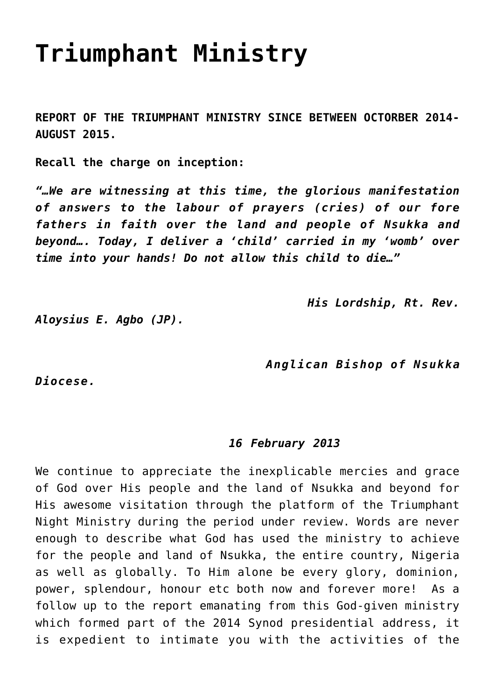## **[Triumphant Ministry](https://adonsk.com/triumphant-ministry/)**

**REPORT OF THE TRIUMPHANT MINISTRY SINCE BETWEEN OCTORBER 2014- AUGUST 2015.**

**Recall the charge on inception:**

*"…We are witnessing at this time, the glorious manifestation of answers to the labour of prayers (cries) of our fore fathers in faith over the land and people of Nsukka and beyond…. Today, I deliver a 'child' carried in my 'womb' over time into your hands! Do not allow this child to die…"* 

 *His Lordship, Rt. Rev.*

*Aloysius E. Agbo (JP).* 

 *Anglican Bishop of Nsukka*

*Diocese.*

## *16 February 2013*

We continue to appreciate the inexplicable mercies and grace of God over His people and the land of Nsukka and beyond for His awesome visitation through the platform of the Triumphant Night Ministry during the period under review. Words are never enough to describe what God has used the ministry to achieve for the people and land of Nsukka, the entire country, Nigeria as well as globally. To Him alone be every glory, dominion, power, splendour, honour etc both now and forever more! As a follow up to the report emanating from this God-given ministry which formed part of the 2014 Synod presidential address, it is expedient to intimate you with the activities of the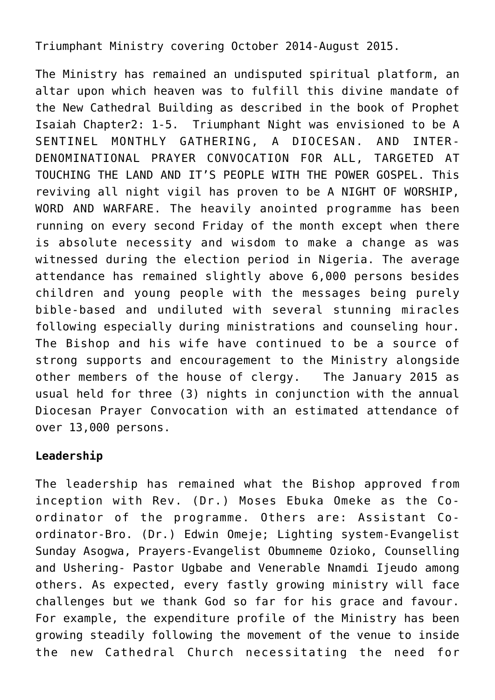Triumphant Ministry covering October 2014-August 2015.

The Ministry has remained an undisputed spiritual platform, an altar upon which heaven was to fulfill this divine mandate of the New Cathedral Building as described in the book of Prophet Isaiah Chapter2: 1-5. Triumphant Night was envisioned to be A SENTINEL MONTHLY GATHERING, A DIOCESAN. AND INTER-DENOMINATIONAL PRAYER CONVOCATION FOR ALL, TARGETED AT TOUCHING THE LAND AND IT'S PEOPLE WITH THE POWER GOSPEL. This reviving all night vigil has proven to be A NIGHT OF WORSHIP, WORD AND WARFARE. The heavily anointed programme has been running on every second Friday of the month except when there is absolute necessity and wisdom to make a change as was witnessed during the election period in Nigeria. The average attendance has remained slightly above 6,000 persons besides children and young people with the messages being purely bible-based and undiluted with several stunning miracles following especially during ministrations and counseling hour. The Bishop and his wife have continued to be a source of strong supports and encouragement to the Ministry alongside other members of the house of clergy. The January 2015 as usual held for three (3) nights in conjunction with the annual Diocesan Prayer Convocation with an estimated attendance of over 13,000 persons.

## **Leadership**

The leadership has remained what the Bishop approved from inception with Rev. (Dr.) Moses Ebuka Omeke as the Coordinator of the programme. Others are: Assistant Coordinator-Bro. (Dr.) Edwin Omeje; Lighting system-Evangelist Sunday Asogwa, Prayers-Evangelist Obumneme Ozioko, Counselling and Ushering- Pastor Ugbabe and Venerable Nnamdi Ijeudo among others. As expected, every fastly growing ministry will face challenges but we thank God so far for his grace and favour. For example, the expenditure profile of the Ministry has been growing steadily following the movement of the venue to inside the new Cathedral Church necessitating the need for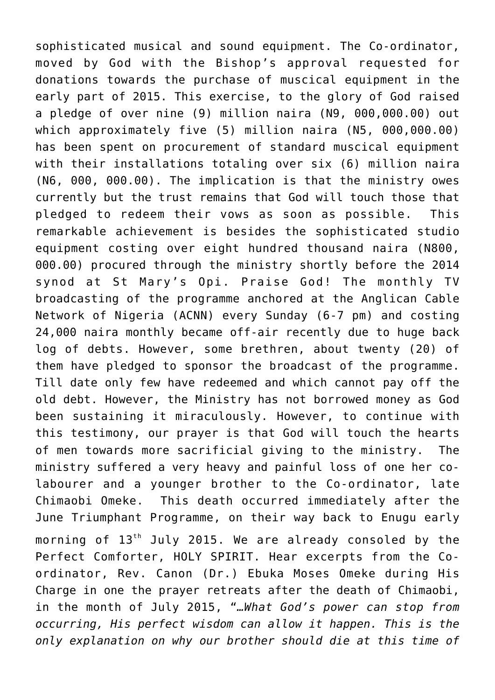sophisticated musical and sound equipment. The Co-ordinator, moved by God with the Bishop's approval requested for donations towards the purchase of muscical equipment in the early part of 2015. This exercise, to the glory of God raised a pledge of over nine (9) million naira (N9, 000,000.00) out which approximately five (5) million naira (N5, 000,000.00) has been spent on procurement of standard muscical equipment with their installations totaling over six (6) million naira (N6, 000, 000.00). The implication is that the ministry owes currently but the trust remains that God will touch those that pledged to redeem their vows as soon as possible. This remarkable achievement is besides the sophisticated studio equipment costing over eight hundred thousand naira (N800, 000.00) procured through the ministry shortly before the 2014 synod at St Mary's Opi. Praise God! The monthly TV broadcasting of the programme anchored at the Anglican Cable Network of Nigeria (ACNN) every Sunday (6-7 pm) and costing 24,000 naira monthly became off-air recently due to huge back log of debts. However, some brethren, about twenty (20) of them have pledged to sponsor the broadcast of the programme. Till date only few have redeemed and which cannot pay off the old debt. However, the Ministry has not borrowed money as God been sustaining it miraculously. However, to continue with this testimony, our prayer is that God will touch the hearts of men towards more sacrificial giving to the ministry. The ministry suffered a very heavy and painful loss of one her colabourer and a younger brother to the Co-ordinator, late Chimaobi Omeke. This death occurred immediately after the June Triumphant Programme, on their way back to Enugu early morning of  $13<sup>th</sup>$  July 2015. We are already consoled by the Perfect Comforter, HOLY SPIRIT. Hear excerpts from the Coordinator, Rev. Canon (Dr.) Ebuka Moses Omeke during His Charge in one the prayer retreats after the death of Chimaobi, in the month of July 2015, "*…What God's power can stop from occurring, His perfect wisdom can allow it happen. This is the only explanation on why our brother should die at this time of*